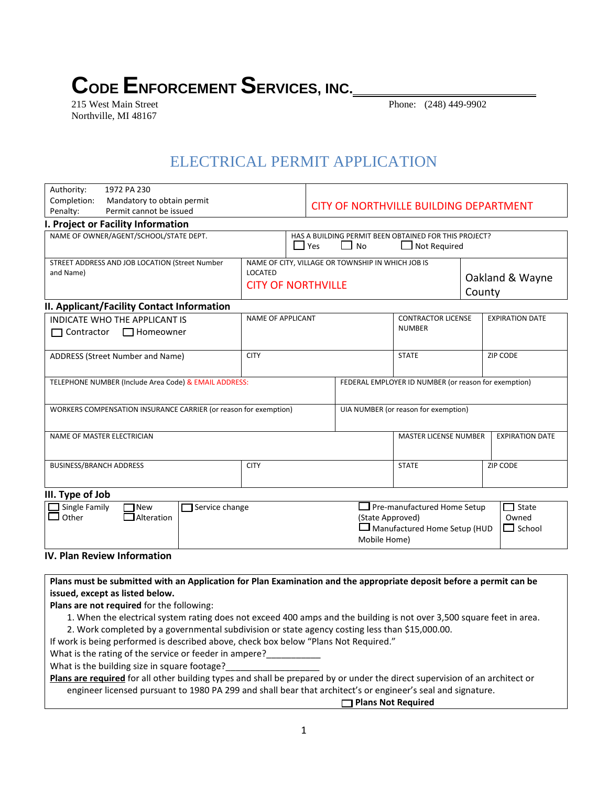## **CODE ENFORCEMENT SERVICES, INC.**

Northville, MI 48167

Phone: (248) 449-9902

## ELECTRICAL PERMIT APPLICATION

| Authority:                                                                    | 1972 PA 230                                           |                                                                                                  |                    |                                                                                    |                                                                           |                        |                                           |
|-------------------------------------------------------------------------------|-------------------------------------------------------|--------------------------------------------------------------------------------------------------|--------------------|------------------------------------------------------------------------------------|---------------------------------------------------------------------------|------------------------|-------------------------------------------|
| Completion:<br>Penalty:                                                       | Mandatory to obtain permit<br>Permit cannot be issued |                                                                                                  |                    | <b>CITY OF NORTHVILLE BUILDING DEPARTMENT</b>                                      |                                                                           |                        |                                           |
|                                                                               | I. Project or Facility Information                    |                                                                                                  |                    |                                                                                    |                                                                           |                        |                                           |
| NAME OF OWNER/AGENT/SCHOOL/STATE DEPT.                                        |                                                       |                                                                                                  | $\blacksquare$ Yes | HAS A BUILDING PERMIT BEEN OBTAINED FOR THIS PROJECT?<br><b>No</b><br>Not Required |                                                                           |                        |                                           |
| STREET ADDRESS AND JOB LOCATION (Street Number<br>and Name)                   |                                                       | NAME OF CITY, VILLAGE OR TOWNSHIP IN WHICH JOB IS<br><b>LOCATED</b><br><b>CITY OF NORTHVILLE</b> |                    |                                                                                    | Oakland & Wayne<br>County                                                 |                        |                                           |
|                                                                               | II. Applicant/Facility Contact Information            |                                                                                                  |                    |                                                                                    |                                                                           |                        |                                           |
| <b>INDICATE WHO THE APPLICANT IS</b><br>$\Box$ Contractor<br>$\Box$ Homeowner |                                                       | <b>NAME OF APPLICANT</b>                                                                         |                    | <b>CONTRACTOR LICENSE</b><br><b>NUMBER</b>                                         |                                                                           | <b>EXPIRATION DATE</b> |                                           |
| ADDRESS (Street Number and Name)                                              |                                                       | <b>CITY</b>                                                                                      |                    | <b>STATE</b>                                                                       |                                                                           | <b>ZIP CODE</b>        |                                           |
|                                                                               | TELEPHONE NUMBER (Include Area Code) & EMAIL ADDRESS: |                                                                                                  |                    |                                                                                    | FEDERAL EMPLOYER ID NUMBER (or reason for exemption)                      |                        |                                           |
| WORKERS COMPENSATION INSURANCE CARRIER (or reason for exemption)              |                                                       |                                                                                                  |                    |                                                                                    | UIA NUMBER (or reason for exemption)                                      |                        |                                           |
| NAME OF MASTER ELECTRICIAN                                                    |                                                       |                                                                                                  |                    |                                                                                    | <b>MASTER LICENSE NUMBER</b>                                              |                        | <b>EXPIRATION DATE</b>                    |
| <b>BUSINESS/BRANCH ADDRESS</b><br><b>CITY</b>                                 |                                                       |                                                                                                  |                    |                                                                                    | <b>STATE</b>                                                              |                        | <b>ZIP CODE</b>                           |
| III. Type of Job                                                              |                                                       |                                                                                                  |                    |                                                                                    |                                                                           |                        |                                           |
| Single Family<br>Other                                                        | $\sqsupset$ Service change<br>l New<br>Alteration     |                                                                                                  |                    | (State Approved)<br>Mobile Home)                                                   | $\Box$ Pre-manufactured Home Setup<br>$\Box$ Manufactured Home Setup (HUD |                        | $\sqsupset$ State<br>Owned<br>┑<br>School |

## **IV. Plan Review Information**

**Plans must be submitted with an Application for Plan Examination and the appropriate deposit before a permit can be issued, except as listed below.**

**Plans are not required** for the following:

- 1. When the electrical system rating does not exceed 400 amps and the building is not over 3,500 square feet in area.
- 2. Work completed by a governmental subdivision or state agency costing less than \$15,000.00.

If work is being performed is described above, check box below "Plans Not Required."

What is the rating of the service or feeder in ampere?

What is the building size in square footage?

**Plans are required** for all other building types and shall be prepared by or under the direct supervision of an architect or engineer licensed pursuant to 1980 PA 299 and shall bear that architect's or engineer's seal and signature.

**Plans Not Required**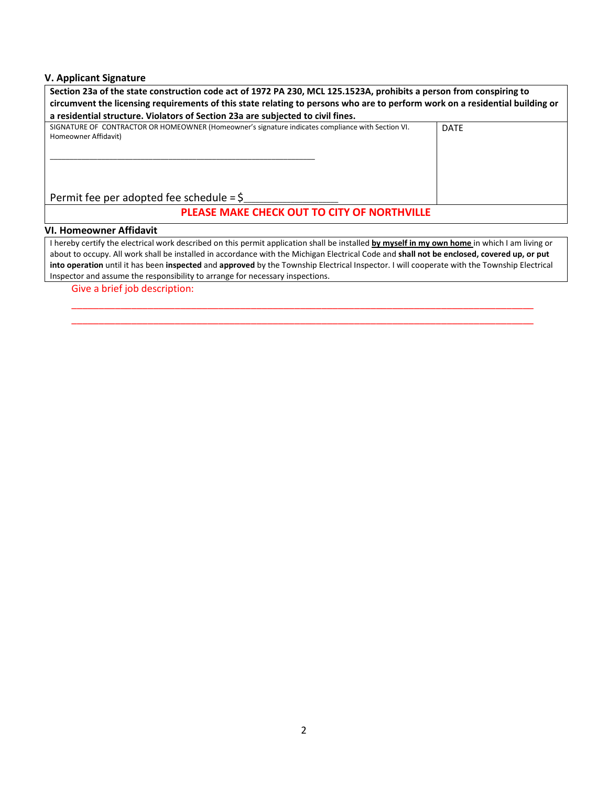## **V. Applicant Signature**

| Section 23a of the state construction code act of 1972 PA 230, MCL 125.1523A, prohibits a person from conspiring to<br>circumvent the licensing requirements of this state relating to persons who are to perform work on a residential building or |             |  |  |  |  |  |
|-----------------------------------------------------------------------------------------------------------------------------------------------------------------------------------------------------------------------------------------------------|-------------|--|--|--|--|--|
| a residential structure. Violators of Section 23a are subjected to civil fines.                                                                                                                                                                     |             |  |  |  |  |  |
| SIGNATURE OF CONTRACTOR OR HOMEOWNER (Homeowner's signature indicates compliance with Section VI.<br>Homeowner Affidavit)                                                                                                                           | <b>DATE</b> |  |  |  |  |  |
| Permit fee per adopted fee schedule = $\zeta$                                                                                                                                                                                                       |             |  |  |  |  |  |
| PLEASE MAKE CHECK OUT TO CITY OF NORTHVILLE                                                                                                                                                                                                         |             |  |  |  |  |  |
| <b>VI. Homeowner Affidavit</b>                                                                                                                                                                                                                      |             |  |  |  |  |  |
| I hereby certify the electrical work described on this permit application shall be installed by myself in my own home in which I am living or                                                                                                       |             |  |  |  |  |  |

I hereby certify the electrical work described on this permit application shall be installed **by myself in my own home** in which I am living or about to occupy. All work shall be installed in accordance with the Michigan Electrical Code and **shall not be enclosed, covered up, or put into operation** until it has been **inspected** and **approved** by the Township Electrical Inspector. I will cooperate with the Township Electrical Inspector and assume the responsibility to arrange for necessary inspections.

\_\_\_\_\_\_\_\_\_\_\_\_\_\_\_\_\_\_\_\_\_\_\_\_\_\_\_\_\_\_\_\_\_\_\_\_\_\_\_\_\_\_\_\_\_\_\_\_\_\_\_\_\_\_\_\_\_\_\_\_\_\_\_\_\_\_\_\_\_\_\_\_\_\_\_\_\_\_\_\_\_\_\_\_\_ \_\_\_\_\_\_\_\_\_\_\_\_\_\_\_\_\_\_\_\_\_\_\_\_\_\_\_\_\_\_\_\_\_\_\_\_\_\_\_\_\_\_\_\_\_\_\_\_\_\_\_\_\_\_\_\_\_\_\_\_\_\_\_\_\_\_\_\_\_\_\_\_\_\_\_\_\_\_\_\_\_\_\_\_\_

Give a brief job description: